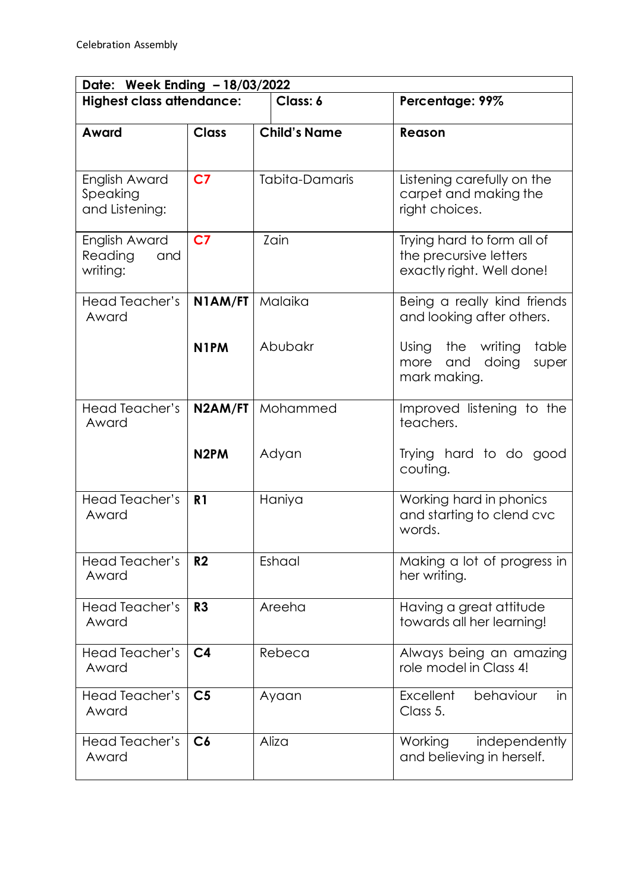| Date: Week Ending - 18/03/2022              |                   |                     |                                                                                   |  |  |
|---------------------------------------------|-------------------|---------------------|-----------------------------------------------------------------------------------|--|--|
| <b>Highest class attendance:</b>            |                   | Class: 6            | Percentage: 99%                                                                   |  |  |
| Award                                       | <b>Class</b>      | <b>Child's Name</b> | Reason                                                                            |  |  |
|                                             |                   |                     |                                                                                   |  |  |
| English Award<br>Speaking<br>and Listening: | C <sub>7</sub>    | Tabita-Damaris      | Listening carefully on the<br>carpet and making the<br>right choices.             |  |  |
| English Award<br>Reading<br>and<br>writing: | C <sub>7</sub>    | Zain                | Trying hard to form all of<br>the precursive letters<br>exactly right. Well done! |  |  |
| Head Teacher's<br>Award                     | N1AM/FT           | Malaika             | Being a really kind friends<br>and looking after others.                          |  |  |
|                                             | N <sub>1</sub> PM | Abubakr             | the writing<br>table<br>Using<br>doing<br>more<br>and<br>super<br>mark making.    |  |  |
| Head Teacher's<br>Award                     | N2AM/FT           | Mohammed            | Improved listening to the<br>teachers.                                            |  |  |
|                                             | N <sub>2</sub> PM | Adyan               | Trying hard to do good<br>couting.                                                |  |  |
| Head Teacher's<br>Award                     | R <sub>1</sub>    | Haniya              | Working hard in phonics<br>and starting to clend cvc<br>words.                    |  |  |
| Head Teacher's<br>Award                     | R <sub>2</sub>    | Eshaal              | Making a lot of progress in<br>her writing.                                       |  |  |
| <b>Head Teacher's</b><br>Award              | R3                | Areeha              | Having a great attitude<br>towards all her learning!                              |  |  |
| <b>Head Teacher's</b><br>Award              | C <sub>4</sub>    | Rebeca              | Always being an amazing<br>role model in Class 4!                                 |  |  |
| Head Teacher's<br>Award                     | C <sub>5</sub>    | Ayaan               | <b>Excellent</b><br>behaviour<br>in<br>Class 5.                                   |  |  |
| <b>Head Teacher's</b><br>Award              | C6                | Aliza               | Working<br>independently<br>and believing in herself.                             |  |  |